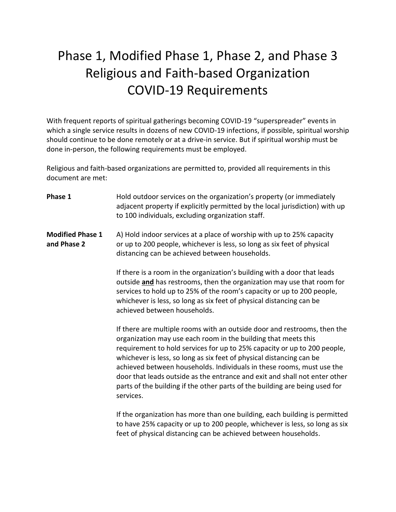# Phase 1, Modified Phase 1, Phase 2, and Phase 3 Religious and Faith-based Organization COVID-19 Requirements

With frequent reports of spiritual gatherings becoming COVID-19 "superspreader" events in which a single service results in dozens of new COVID-19 infections, if possible, spiritual worship should continue to be done remotely or at a drive-in service. But if spiritual worship must be done in-person, the following requirements must be employed.

Religious and faith-based organizations are permitted to, provided all requirements in this document are met:

**Phase 1** Hold outdoor services on the organization's property (or immediately adjacent property if explicitly permitted by the local jurisdiction) with up to 100 individuals, excluding organization staff.

**Modified Phase 1** A) Hold indoor services at a place of worship with up to 25% capacity **and Phase 2** or up to 200 people, whichever is less, so long as six feet of physical distancing can be achieved between households.

> If there is a room in the organization's building with a door that leads outside **and** has restrooms, then the organization may use that room for services to hold up to 25% of the room's capacity or up to 200 people, whichever is less, so long as six feet of physical distancing can be achieved between households.

If there are multiple rooms with an outside door and restrooms, then the organization may use each room in the building that meets this requirement to hold services for up to 25% capacity or up to 200 people, whichever is less, so long as six feet of physical distancing can be achieved between households. Individuals in these rooms, must use the door that leads outside as the entrance and exit and shall not enter other parts of the building if the other parts of the building are being used for services.

If the organization has more than one building, each building is permitted to have 25% capacity or up to 200 people, whichever is less, so long as six feet of physical distancing can be achieved between households.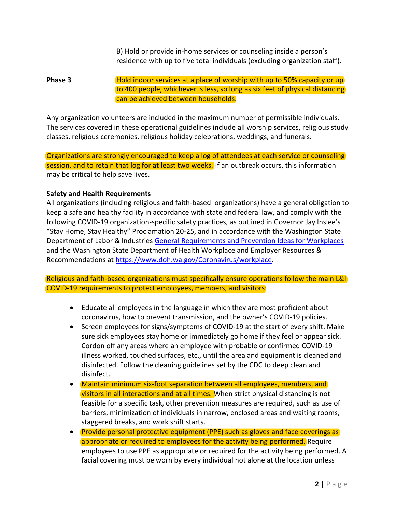B) Hold or provide in-home services or counseling inside a person's residence with up to five total individuals (excluding organization staff).

### **Phase 3** Hold indoor services at a place of worship with up to 50% capacity or up to 400 people, whichever is less, so long as six feet of physical distancing can be achieved between households.

Any organization volunteers are included in the maximum number of permissible individuals. The services covered in these operational guidelines include all worship services, religious study classes, religious ceremonies, religious holiday celebrations, weddings, and funerals.

Organizations are strongly encouraged to keep a log of attendees at each service or counseling session, and to retain that log for at least two weeks. If an outbreak occurs, this information may be critical to help save lives.

### **Safety and Health Requirements**

All organizations (including religious and faith-based organizations) have a general obligation to keep a safe and healthy facility in accordance with state and federal law, and comply with the following COVID-19 organization-specific safety practices, as outlined in Governor Jay Inslee's "Stay Home, Stay Healthy" Proclamation 20-25, and in accordance with the Washington State Department of Labor & Industries [General Requirements and Prevention Ideas for Workplaces](https://lni.wa.gov/forms-publications/F414-164-000.pdf) and the Washington State Department of Health Workplace and Employer Resources & Recommendations at [https://www.doh.wa.gov/Coronavirus/workplace.](https://www.doh.wa.gov/Coronavirus/workplace)

Religious and faith-based organizations must specifically ensure operations follow the main L&I COVID-19 requirements to protect employees, members, and visitors:

- Educate all employees in the language in which they are most proficient about coronavirus, how to prevent transmission, and the owner's COVID-19 policies.
- Screen employees for signs/symptoms of COVID-19 at the start of every shift. Make sure sick employees stay home or immediately go home if they feel or appear sick. Cordon off any areas where an employee with probable or confirmed COVID-19 illness worked, touched surfaces, etc., until the area and equipment is cleaned and disinfected. Follow the cleaning guidelines set by the CDC to deep clean and disinfect.
- Maintain minimum six-foot separation between all employees, members, and visitors in all interactions and at all times. When strict physical distancing is not feasible for a specific task, other prevention measures are required, such as use of barriers, minimization of individuals in narrow, enclosed areas and waiting rooms, staggered breaks, and work shift starts.
- Provide personal protective equipment (PPE) such as gloves and face coverings as appropriate or required to employees for the activity being performed. Require employees to use PPE as appropriate or required for the activity being performed. A facial covering must be worn by every individual not alone at the location unless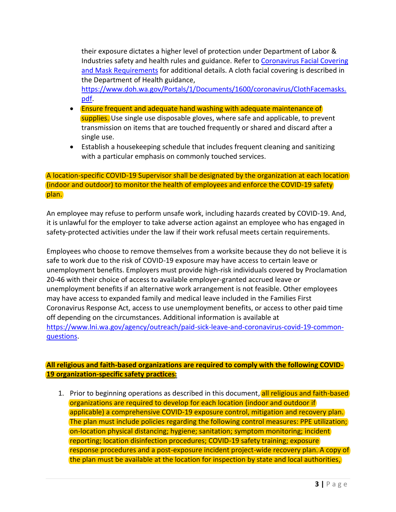their exposure dictates a higher level of protection under Department of Labor & Industries safety and health rules and guidance. Refer t[o Coronavirus Facial Covering](https://www.lni.wa.gov/agency/_docs/wacoronavirushazardconsiderationsemployers.pdf)  [and Mask Requirements](https://www.lni.wa.gov/agency/_docs/wacoronavirushazardconsiderationsemployers.pdf) for additional details. A cloth facial covering is described in the Department of Health guidance,

[https://www.doh.wa.gov/Portals/1/Documents/1600/coronavirus/ClothFacemasks.](https://www.doh.wa.gov/Portals/1/Documents/1600/coronavirus/ClothFacemasks.pdf) [pdf.](https://www.doh.wa.gov/Portals/1/Documents/1600/coronavirus/ClothFacemasks.pdf)

- Ensure frequent and adequate hand washing with adequate maintenance of supplies. Use single use disposable gloves, where safe and applicable, to prevent transmission on items that are touched frequently or shared and discard after a single use.
- Establish a housekeeping schedule that includes frequent cleaning and sanitizing with a particular emphasis on commonly touched services.

#### A location-specific COVID-19 Supervisor shall be designated by the organization at each location (indoor and outdoor) to monitor the health of employees and enforce the COVID-19 safety plan.

An employee may refuse to perform unsafe work, including hazards created by COVID-19. And, it is unlawful for the employer to take adverse action against an employee who has engaged in safety-protected activities under the law if their work refusal meets certain requirements.

Employees who choose to remove themselves from a worksite because they do not believe it is safe to work due to the risk of COVID-19 exposure may have access to certain leave or unemployment benefits. Employers must provide high-risk individuals covered by Proclamation 20-46 with their choice of access to available employer-granted accrued leave or unemployment benefits if an alternative work arrangement is not feasible. Other employees may have access to expanded family and medical leave included in the Families First Coronavirus Response Act, access to use unemployment benefits, or access to other paid time off depending on the circumstances. Additional information is available at [https://www.lni.wa.gov/agency/outreach/paid-sick-leave-and-coronavirus-covid-19-common](https://www.lni.wa.gov/agency/outreach/paid-sick-leave-and-coronavirus-covid-19-common-questions)[questions.](https://www.lni.wa.gov/agency/outreach/paid-sick-leave-and-coronavirus-covid-19-common-questions)

## **All religious and faith-based organizations are required to comply with the following COVID-19 organization-specific safety practices:**

1. Prior to beginning operations as described in this document, all religious and faith-based organizations are required to develop for each location (indoor and outdoor if applicable) a comprehensive COVID-19 exposure control, mitigation and recovery plan. The plan must include policies regarding the following control measures: PPE utilization; on-location physical distancing; hygiene; sanitation; symptom monitoring; incident reporting; location disinfection procedures; COVID-19 safety training; exposure response procedures and a post-exposure incident project-wide recovery plan. A copy of the plan must be available at the location for inspection by state and local authorities,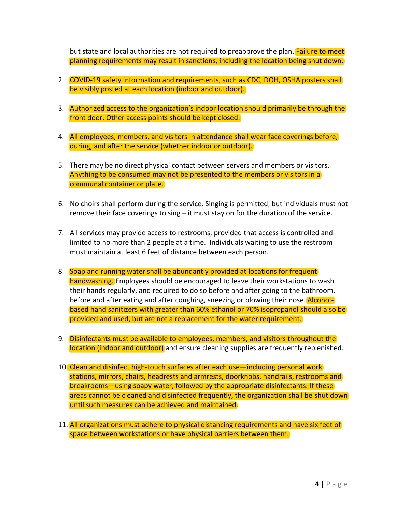but state and local authorities are not required to preapprove the plan. **Failure to meet** planning requirements may result in sanctions, including the location being shut down.

- 2. COVID-19 safety information and requirements, such as CDC, DOH, OSHA posters shall be visibly posted at each location (indoor and outdoor).
- 3. Authorized access to the organization's indoor location should primarily be through the front door. Other access points should be kept closed.
- 4. All employees, members, and visitors in attendance shall wear face coverings before, during, and after the service (whether indoor or outdoor).
- 5. There may be no direct physical contact between servers and members or visitors. Anything to be consumed may not be presented to the members or visitors in a communal container or plate.
- 6. No choirs shall perform during the service. Singing is permitted, but individuals must not remove their face coverings to sing – it must stay on for the duration of the service.
- 7. All services may provide access to restrooms, provided that access is controlled and limited to no more than 2 people at a time. Individuals waiting to use the restroom must maintain at least 6 feet of distance between each person.
- 8. Soap and running water shall be abundantly provided at locations for frequent handwashing. Employees should be encouraged to leave their workstations to wash their hands regularly, and required to do so before and after going to the bathroom, before and after eating and after coughing, sneezing or blowing their nose. **Alcohol**based hand sanitizers with greater than 60% ethanol or 70% isopropanol should also be provided and used, but are not a replacement for the water requirement.
- 9. Disinfectants must be available to employees, members, and visitors throughout the location (indoor and outdoor) and ensure cleaning supplies are frequently replenished.
- 10. Clean and disinfect high-touch surfaces after each use—including personal work stations, mirrors, chairs, headrests and armrests, doorknobs, handrails, restrooms and breakrooms—using soapy water, followed by the appropriate disinfectants. If these areas cannot be cleaned and disinfected frequently, the organization shall be shut down until such measures can be achieved and maintained.
- 11. All organizations must adhere to physical distancing requirements and have six feet of space between workstations or have physical barriers between them.